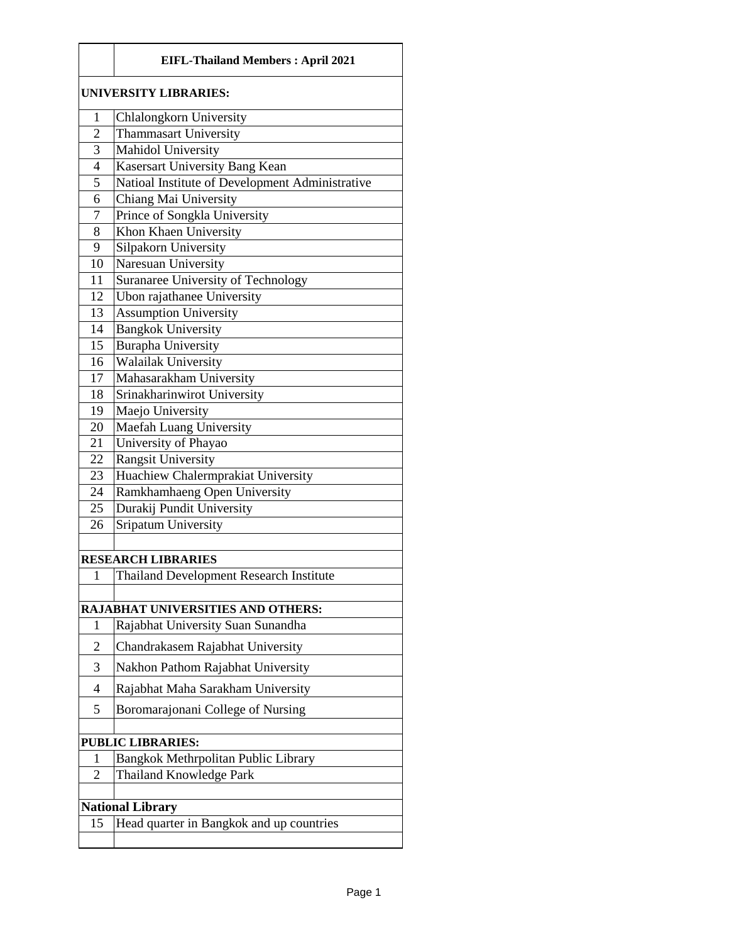|                              | <b>EIFL-Thailand Members: April 2021</b>                                      |  |
|------------------------------|-------------------------------------------------------------------------------|--|
| <b>UNIVERSITY LIBRARIES:</b> |                                                                               |  |
| 1                            | Chlalongkorn University                                                       |  |
| $\overline{2}$               | <b>Thammasart University</b>                                                  |  |
| 3                            | Mahidol University                                                            |  |
| $\overline{4}$               | Kasersart University Bang Kean                                                |  |
| 5                            | Natioal Institute of Development Administrative                               |  |
| 6                            | Chiang Mai University                                                         |  |
| 7                            | Prince of Songkla University                                                  |  |
| 8                            | Khon Khaen University                                                         |  |
| 9                            | Silpakorn University                                                          |  |
| 10                           | Naresuan University                                                           |  |
| 11                           | Suranaree University of Technology                                            |  |
| 12                           | Ubon rajathanee University                                                    |  |
| 13                           | <b>Assumption University</b>                                                  |  |
| 14                           | <b>Bangkok University</b>                                                     |  |
| 15                           | <b>Burapha University</b><br><b>Walailak University</b>                       |  |
| 16<br>17                     | Mahasarakham University                                                       |  |
| 18                           | Srinakharinwirot University                                                   |  |
| 19                           | Maejo University                                                              |  |
| 20                           | Maefah Luang University                                                       |  |
| 21                           | University of Phayao                                                          |  |
| 22                           | <b>Rangsit University</b>                                                     |  |
| 23                           | Huachiew Chalermprakiat University                                            |  |
| 24                           | Ramkhamhaeng Open University                                                  |  |
| 25                           | Durakij Pundit University                                                     |  |
| 26                           | <b>Sripatum University</b>                                                    |  |
|                              |                                                                               |  |
|                              | <b>RESEARCH LIBRARIES</b>                                                     |  |
| 1                            | <b>Thailand Development Research Institute</b>                                |  |
|                              |                                                                               |  |
| 1                            | <b>RAJABHAT UNIVERSITIES AND OTHERS:</b><br>Rajabhat University Suan Sunandha |  |
|                              |                                                                               |  |
| $\overline{2}$               | Chandrakasem Rajabhat University                                              |  |
| 3                            | Nakhon Pathom Rajabhat University                                             |  |
| $\overline{4}$               | Rajabhat Maha Sarakham University                                             |  |
| 5                            | Boromarajonani College of Nursing                                             |  |
|                              | <b>PUBLIC LIBRARIES:</b>                                                      |  |
| 1                            | Bangkok Methrpolitan Public Library                                           |  |
| 2                            | <b>Thailand Knowledge Park</b>                                                |  |
|                              |                                                                               |  |
|                              | <b>National Library</b>                                                       |  |
| 15                           | Head quarter in Bangkok and up countries                                      |  |
|                              |                                                                               |  |